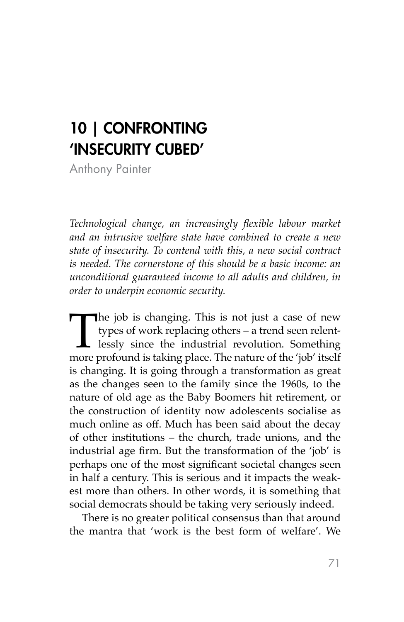## 10 | CONFRONTING 'INSECURITY CUBED'

Anthony Painter

*Technological change, an increasingly flexible labour market and an intrusive welfare state have combined to create a new state of insecurity. To contend with this, a new social contract is needed. The cornerstone of this should be a basic income: an unconditional guaranteed income to all adults and children, in order to underpin economic security.* 

The job is changing. This is not just a case of new types of work replacing others – a trend seen relent-<br>lessly since the industrial revolution. Something<br>more profound is taking place. The nature of the 'job' itself types of work replacing others – a trend seen relentlessly since the industrial revolution. Something more profound is taking place. The nature of the 'job' itself is changing. It is going through a transformation as great as the changes seen to the family since the 1960s, to the nature of old age as the Baby Boomers hit retirement, or the construction of identity now adolescents socialise as much online as off. Much has been said about the decay of other institutions – the church, trade unions, and the industrial age firm. But the transformation of the 'job' is perhaps one of the most significant societal changes seen in half a century. This is serious and it impacts the weakest more than others. In other words, it is something that social democrats should be taking very seriously indeed.

There is no greater political consensus than that around the mantra that 'work is the best form of welfare'. We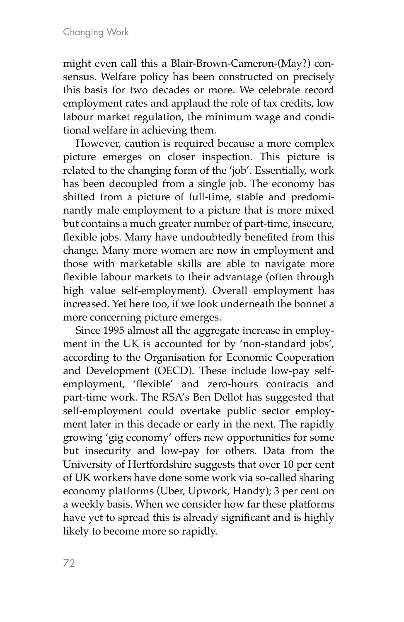might even call this a Blair-Brown-Cameron-(May?) consensus. Welfare policy has been constructed on precisely this basis for two decades or more. We celebrate record employment rates and applaud the role of tax credits, low labour market regulation, the minimum wage and conditional welfare in achieving them.

However, caution is required because a more complex picture emerges on closer inspection. This picture is related to the changing form of the 'job'. Essentially, work has been decoupled from a single job. The economy has shifted from a picture of full-time, stable and predominantly male employment to a picture that is more mixed but contains a much greater number of part-time, insecure, flexible jobs. Many have undoubtedly benefited from this change. Many more women are now in employment and those with marketable skills are able to navigate more flexible labour markets to their advantage (often through high value self-employment). Overall employment has increased. Yet here too, if we look underneath the bonnet a more concerning picture emerges.

Since 1995 almost all the aggregate increase in employment in the UK is accounted for by 'non-standard jobs', according to the Organisation for Economic Cooperation and Development (OECD). These include low-pay selfemployment, 'flexible' and zero-hours contracts and part-time work. The RSA's Ben Dellot has suggested that self-employment could overtake public sector employment later in this decade or early in the next. The rapidly growing 'gig economy' offers new opportunities for some but insecurity and low-pay for others. Data from the University of Hertfordshire suggests that over 10 per cent of UK workers have done some work via so-called sharing economy platforms (Uber, Upwork, Handy); 3 per cent on a weekly basis. When we consider how far these platforms have yet to spread this is already significant and is highly likely to become more so rapidly.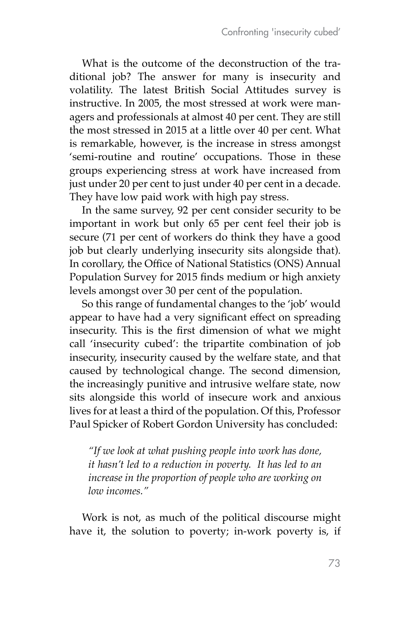What is the outcome of the deconstruction of the traditional job? The answer for many is insecurity and volatility. The latest British Social Attitudes survey is instructive. In 2005, the most stressed at work were managers and professionals at almost 40 per cent. They are still the most stressed in 2015 at a little over 40 per cent. What is remarkable, however, is the increase in stress amongst 'semi-routine and routine' occupations. Those in these groups experiencing stress at work have increased from just under 20 per cent to just under 40 per cent in a decade. They have low paid work with high pay stress.

In the same survey, 92 per cent consider security to be important in work but only 65 per cent feel their job is secure (71 per cent of workers do think they have a good job but clearly underlying insecurity sits alongside that). In corollary, the Office of National Statistics (ONS) Annual Population Survey for 2015 finds medium or high anxiety levels amongst over 30 per cent of the population.

So this range of fundamental changes to the 'job' would appear to have had a very significant effect on spreading insecurity. This is the first dimension of what we might call 'insecurity cubed': the tripartite combination of job insecurity, insecurity caused by the welfare state, and that caused by technological change. The second dimension, the increasingly punitive and intrusive welfare state, now sits alongside this world of insecure work and anxious lives for at least a third of the population. Of this, Professor Paul Spicker of Robert Gordon University has concluded:

*"If we look at what pushing people into work has done, it hasn't led to a reduction in poverty. It has led to an increase in the proportion of people who are working on low incomes."*

Work is not, as much of the political discourse might have it, the solution to poverty; in-work poverty is, if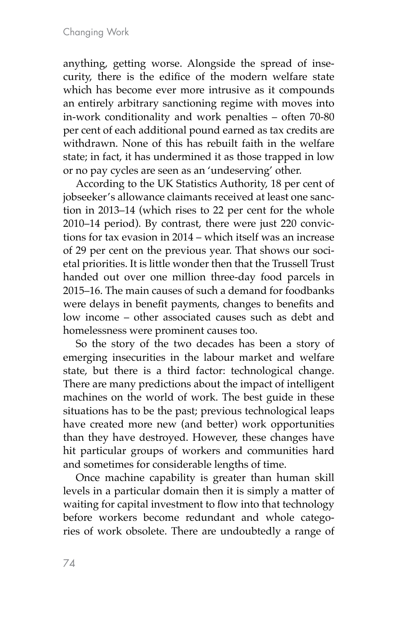anything, getting worse. Alongside the spread of insecurity, there is the edifice of the modern welfare state which has become ever more intrusive as it compounds an entirely arbitrary sanctioning regime with moves into in-work conditionality and work penalties – often 70-80 per cent of each additional pound earned as tax credits are withdrawn. None of this has rebuilt faith in the welfare state; in fact, it has undermined it as those trapped in low or no pay cycles are seen as an 'undeserving' other.

According to the UK Statistics Authority, 18 per cent of jobseeker's allowance claimants received at least one sanction in 2013–14 (which rises to 22 per cent for the whole 2010–14 period). By contrast, there were just 220 convictions for tax evasion in 2014 – which itself was an increase of 29 per cent on the previous year. That shows our societal priorities. It is little wonder then that the Trussell Trust handed out over one million three-day food parcels in 2015–16. The main causes of such a demand for foodbanks were delays in benefit payments, changes to benefits and low income – other associated causes such as debt and homelessness were prominent causes too.

So the story of the two decades has been a story of emerging insecurities in the labour market and welfare state, but there is a third factor: technological change. There are many predictions about the impact of intelligent machines on the world of work. The best guide in these situations has to be the past; previous technological leaps have created more new (and better) work opportunities than they have destroyed. However, these changes have hit particular groups of workers and communities hard and sometimes for considerable lengths of time.

Once machine capability is greater than human skill levels in a particular domain then it is simply a matter of waiting for capital investment to flow into that technology before workers become redundant and whole categories of work obsolete. There are undoubtedly a range of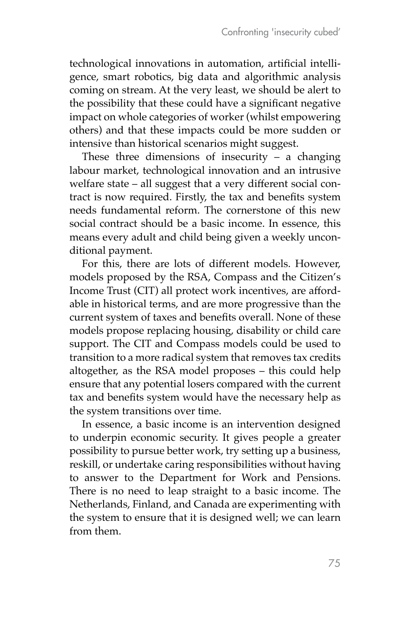technological innovations in automation, artificial intelligence, smart robotics, big data and algorithmic analysis coming on stream. At the very least, we should be alert to the possibility that these could have a significant negative impact on whole categories of worker (whilst empowering others) and that these impacts could be more sudden or intensive than historical scenarios might suggest.

These three dimensions of insecurity  $-$  a changing labour market, technological innovation and an intrusive welfare state – all suggest that a very different social contract is now required. Firstly, the tax and benefits system needs fundamental reform. The cornerstone of this new social contract should be a basic income. In essence, this means every adult and child being given a weekly unconditional payment.

For this, there are lots of different models. However, models proposed by the RSA, Compass and the Citizen's Income Trust (CIT) all protect work incentives, are affordable in historical terms, and are more progressive than the current system of taxes and benefits overall. None of these models propose replacing housing, disability or child care support. The CIT and Compass models could be used to transition to a more radical system that removes tax credits altogether, as the RSA model proposes – this could help ensure that any potential losers compared with the current tax and benefits system would have the necessary help as the system transitions over time.

In essence, a basic income is an intervention designed to underpin economic security. It gives people a greater possibility to pursue better work, try setting up a business, reskill, or undertake caring responsibilities without having to answer to the Department for Work and Pensions. There is no need to leap straight to a basic income. The Netherlands, Finland, and Canada are experimenting with the system to ensure that it is designed well; we can learn from them.